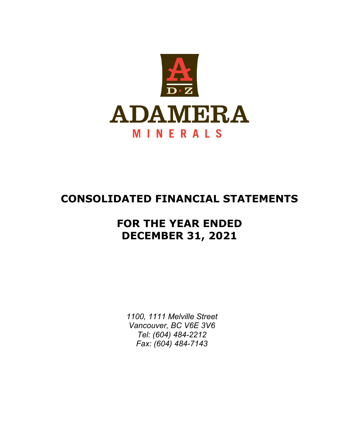

# **CONSOLIDATED FINANCIAL STATEMENTS**

## **FOR THE YEAR ENDED DECEMBER 31, 2021**

*1100, 1111 Melville Street Vancouver, BC V6E 3V6 Tel: (604) 484-2212 Fax: (604) 484-7143*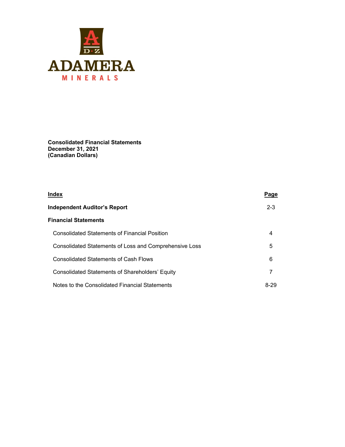

**Consolidated Financial Statements December 31, 2021 (Canadian Dollars)** 

| Index                                                         | Page    |
|---------------------------------------------------------------|---------|
| <b>Independent Auditor's Report</b>                           | $2 - 3$ |
| <b>Financial Statements</b>                                   |         |
| <b>Consolidated Statements of Financial Position</b>          | 4       |
| <b>Consolidated Statements of Loss and Comprehensive Loss</b> | 5       |
| <b>Consolidated Statements of Cash Flows</b>                  | 6       |
| <b>Consolidated Statements of Shareholders' Equity</b>        | 7       |
| Notes to the Consolidated Financial Statements                | 8-29    |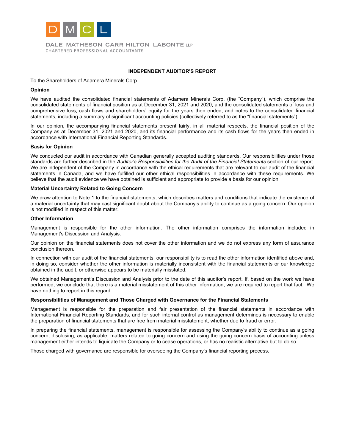

DALE MATHESON CARR-HILTON LABONTE LLP CHARTERED PROFESSIONAL ACCOUNTANTS

#### **INDEPENDENT AUDITOR'S REPORT**

To the Shareholders of Adamera Minerals Corp.

#### **Opinion**

We have audited the consolidated financial statements of Adamera Minerals Corp. (the "Company"), which comprise the consolidated statements of financial position as at December 31, 2021 and 2020, and the consolidated statements of loss and comprehensive loss, cash flows and shareholders' equity for the years then ended, and notes to the consolidated financial statements, including a summary of significant accounting policies (collectively referred to as the "financial statements").

In our opinion, the accompanying financial statements present fairly, in all material respects, the financial position of the Company as at December 31, 2021 and 2020, and its financial performance and its cash flows for the years then ended in accordance with International Financial Reporting Standards.

#### **Basis for Opinion**

We conducted our audit in accordance with Canadian generally accepted auditing standards. Our responsibilities under those standards are further described in the *Auditor's Responsibilities for the Audit of the Financial Statements* section of our report. We are independent of the Company in accordance with the ethical requirements that are relevant to our audit of the financial statements in Canada, and we have fulfilled our other ethical responsibilities in accordance with these requirements. We believe that the audit evidence we have obtained is sufficient and appropriate to provide a basis for our opinion.

#### **Material Uncertainty Related to Going Concern**

We draw attention to Note 1 to the financial statements, which describes matters and conditions that indicate the existence of a material uncertainty that may cast significant doubt about the Company's ability to continue as a going concern. Our opinion is not modified in respect of this matter.

#### **Other Information**

Management is responsible for the other information. The other information comprises the information included in Management's Discussion and Analysis.

Our opinion on the financial statements does not cover the other information and we do not express any form of assurance conclusion thereon.

In connection with our audit of the financial statements, our responsibility is to read the other information identified above and, in doing so, consider whether the other information is materially inconsistent with the financial statements or our knowledge obtained in the audit, or otherwise appears to be materially misstated.

We obtained Management's Discussion and Analysis prior to the date of this auditor's report. If, based on the work we have performed, we conclude that there is a material misstatement of this other information, we are required to report that fact. We have nothing to report in this regard.

#### **Responsibilities of Management and Those Charged with Governance for the Financial Statements**

Management is responsible for the preparation and fair presentation of the financial statements in accordance with International Financial Reporting Standards, and for such internal control as management determines is necessary to enable the preparation of financial statements that are free from material misstatement, whether due to fraud or error.

In preparing the financial statements, management is responsible for assessing the Company's ability to continue as a going concern, disclosing, as applicable, matters related to going concern and using the going concern basis of accounting unless management either intends to liquidate the Company or to cease operations, or has no realistic alternative but to do so.

Those charged with governance are responsible for overseeing the Company's financial reporting process.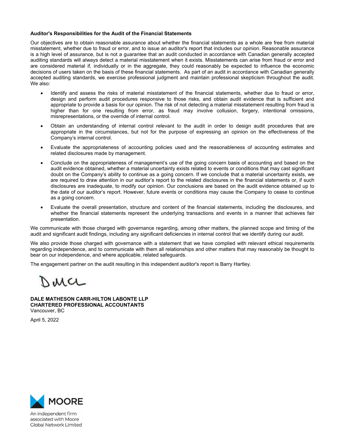#### **Auditor's Responsibilities for the Audit of the Financial Statements**

Our objectives are to obtain reasonable assurance about whether the financial statements as a whole are free from material misstatement, whether due to fraud or error, and to issue an auditor's report that includes our opinion. Reasonable assurance is a high level of assurance, but is not a guarantee that an audit conducted in accordance with Canadian generally accepted auditing standards will always detect a material misstatement when it exists. Misstatements can arise from fraud or error and are considered material if, individually or in the aggregate, they could reasonably be expected to influence the economic decisions of users taken on the basis of these financial statements. As part of an audit in accordance with Canadian generally accepted auditing standards, we exercise professional judgment and maintain professional skepticism throughout the audit. We also:

- Identify and assess the risks of material misstatement of the financial statements, whether due to fraud or error, design and perform audit procedures responsive to those risks, and obtain audit evidence that is sufficient and appropriate to provide a basis for our opinion. The risk of not detecting a material misstatement resulting from fraud is higher than for one resulting from error, as fraud may involve collusion, forgery, intentional omissions, misrepresentations, or the override of internal control.
- Obtain an understanding of internal control relevant to the audit in order to design audit procedures that are appropriate in the circumstances, but not for the purpose of expressing an opinion on the effectiveness of the Company's internal control.
- Evaluate the appropriateness of accounting policies used and the reasonableness of accounting estimates and related disclosures made by management.
- Conclude on the appropriateness of management's use of the going concern basis of accounting and based on the audit evidence obtained, whether a material uncertainty exists related to events or conditions that may cast significant doubt on the Company's ability to continue as a going concern. If we conclude that a material uncertainty exists, we are required to draw attention in our auditor's report to the related disclosures in the financial statements or, if such disclosures are inadequate, to modify our opinion. Our conclusions are based on the audit evidence obtained up to the date of our auditor's report. However, future events or conditions may cause the Company to cease to continue as a going concern.
- Evaluate the overall presentation, structure and content of the financial statements, including the disclosures, and whether the financial statements represent the underlying transactions and events in a manner that achieves fair presentation.

We communicate with those charged with governance regarding, among other matters, the planned scope and timing of the audit and significant audit findings, including any significant deficiencies in internal control that we identify during our audit.

We also provide those charged with governance with a statement that we have complied with relevant ethical requirements regarding independence, and to communicate with them all relationships and other matters that may reasonably be thought to bear on our independence, and where applicable, related safeguards.

The engagement partner on the audit resulting in this independent auditor's report is Barry Hartley*.*

# M CA

**DALE MATHESON CARR-HILTON LABONTE LLP CHARTERED PROFESSIONAL ACCOUNTANTS**  Vancouver, BC

April 5, 2022



An independent firm associated with Moore **Global Network Limited**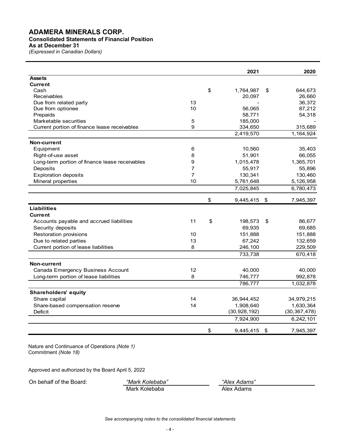#### **Consolidated Statements of Financial Position**

**As at December 31** 

*(Expressed in Canadian Dollars)* 

|                                                |    | 2021            | 2020            |
|------------------------------------------------|----|-----------------|-----------------|
| <b>Assets</b>                                  |    |                 |                 |
| Current                                        |    |                 |                 |
| Cash                                           |    | \$<br>1,764,987 | \$<br>644,673   |
| Receivables                                    |    | 20,097          | 26,660          |
| Due from related party                         | 13 |                 | 36,372          |
| Due from optionee                              | 10 | 56,065          | 87,212          |
| Prepaids                                       |    | 58,771          | 54,318          |
| Marketable securities                          | 5  | 185,000         |                 |
| Current portion of finance lease receivables   | 9  | 334,650         | 315,689         |
|                                                |    | 2,419,570       | 1,164,924       |
| Non-current                                    |    |                 |                 |
| Equipment                                      | 6  | 10,560          | 35,403          |
| Right-of-use asset                             | 8  | 51,901          | 66,055          |
| Long-term portion of finance lease receivables | 9  | 1,015,478       | 1,365,701       |
| Deposits                                       | 7  | 55,917          | 55,896          |
| <b>Exploration deposits</b>                    | 7  | 130,341         | 130,460         |
| Mineral properties                             | 10 | 5,761,648       | 5,126,958       |
|                                                |    | 7,025,845       | 6,780,473       |
|                                                |    | \$<br>9,445,415 | \$<br>7,945,397 |
| <b>Liabilities</b>                             |    |                 |                 |
| <b>Current</b>                                 |    |                 |                 |
| Accounts payable and accrued liabilities       | 11 | \$<br>198,573   | \$<br>86,677    |
| Security deposits                              |    | 69,935          | 69,685          |
| <b>Restoration provisions</b>                  | 10 | 151,888         | 151,888         |
| Due to related parties                         | 13 | 67,242          | 132,659         |
| Current portion of lease liabilities           | 8  | 246,100         | 229,509         |
|                                                |    | 733,738         | 670,418         |
| Non-current                                    |    |                 |                 |
| Canada Emergency Business Account              | 12 | 40,000          | 40,000          |
| Long-term portion of lease liabilities         | 8  | 746,777         | 992,878         |
|                                                |    | 786,777         | 1,032,878       |
| Shareholders' equity                           |    |                 |                 |
| Share capital                                  | 14 | 36,944,452      | 34,979,215      |
| Share-based compensation reserve               | 14 | 1,908,640       | 1,630,364       |
| Deficit                                        |    | (30, 928, 192)  | (30, 367, 478)  |
|                                                |    | 7,924,900       | 6,242,101       |
|                                                |    | \$<br>9,445,415 | \$<br>7,945,397 |

Nature and Continuance of Operations *(Note 1)* Commitment *(Note 18)*

Approved and authorized by the Board April 5, 2022

| On behalf of the Board: | "Mark Kolebaba" | "Alex Adams" |
|-------------------------|-----------------|--------------|
|                         | Mark Kolebaba   | Alex Adams   |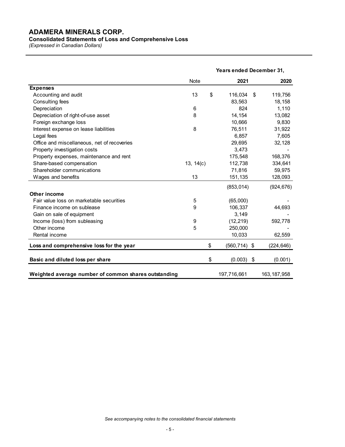### **Consolidated Statements of Loss and Comprehensive Loss**

*(Expressed in Canadian Dollars)* 

|                                                      | Years ended December 31, |    |                 |    |               |  |  |
|------------------------------------------------------|--------------------------|----|-----------------|----|---------------|--|--|
|                                                      | <b>Note</b>              |    | 2021            |    | 2020          |  |  |
| <b>Expenses</b>                                      |                          |    |                 |    |               |  |  |
| Accounting and audit                                 | 13                       | \$ | 116,034         | \$ | 119,756       |  |  |
| Consulting fees                                      |                          |    | 83,563          |    | 18,158        |  |  |
| Depreciation                                         | 6                        |    | 824             |    | 1,110         |  |  |
| Depreciation of right-of-use asset                   | 8                        |    | 14,154          |    | 13,082        |  |  |
| Foreign exchange loss                                |                          |    | 10,666          |    | 9,830         |  |  |
| Interest expense on lease liabilities                | 8                        |    | 76,511          |    | 31,922        |  |  |
| Legal fees                                           |                          |    | 6,857           |    | 7,605         |  |  |
| Office and miscellaneous, net of recoveries          |                          |    | 29,695          |    | 32,128        |  |  |
| Property investigation costs                         |                          |    | 3,473           |    |               |  |  |
| Property expenses, maintenance and rent              |                          |    | 175,548         |    | 168,376       |  |  |
| Share-based compensation                             | 13, 14(c)                |    | 112,738         |    | 334,641       |  |  |
| Shareholder communications                           |                          |    | 71,816          |    | 59,975        |  |  |
| Wages and benefits                                   | 13                       |    | 151,135         |    | 128,093       |  |  |
|                                                      |                          |    | (853, 014)      |    | (924, 676)    |  |  |
| Other income                                         |                          |    |                 |    |               |  |  |
| Fair value loss on marketable securities             | 5                        |    | (65,000)        |    |               |  |  |
| Finance income on sublease                           | 9                        |    | 106,337         |    | 44,693        |  |  |
| Gain on sale of equipment                            |                          |    | 3,149           |    |               |  |  |
| Income (loss) from subleasing                        | 9                        |    | (12, 219)       |    | 592,778       |  |  |
| Other income                                         | 5                        |    | 250,000         |    |               |  |  |
| Rental income                                        |                          |    | 10,033          |    | 62,559        |  |  |
| Loss and comprehensive loss for the year             |                          | \$ | $(560, 714)$ \$ |    | (224, 646)    |  |  |
| Basic and diluted loss per share                     |                          | \$ | $(0.003)$ \$    |    | (0.001)       |  |  |
| Weighted average number of common shares outstanding |                          |    | 197,716,661     |    | 163, 187, 958 |  |  |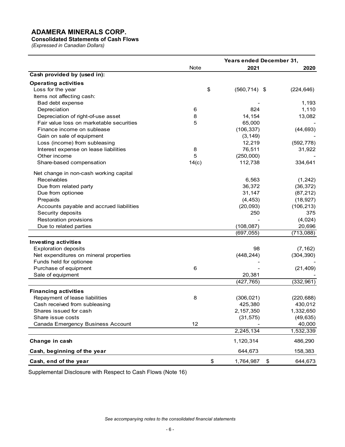#### **Consolidated Statements of Cash Flows**

*(Expressed in Canadian Dollars)* 

|                                          |       | Years ended December 31, |    |            |  |  |  |
|------------------------------------------|-------|--------------------------|----|------------|--|--|--|
|                                          | Note  | 2021                     |    | 2020       |  |  |  |
| Cash provided by (used in):              |       |                          |    |            |  |  |  |
| <b>Operating activities</b>              |       |                          |    |            |  |  |  |
| Loss for the year                        | \$    | $(560, 714)$ \$          |    | (224, 646) |  |  |  |
| Items not affecting cash:                |       |                          |    |            |  |  |  |
| Bad debt expense                         |       |                          |    | 1,193      |  |  |  |
| Depreciation                             | 6     | 824                      |    | 1,110      |  |  |  |
| Depreciation of right-of-use asset       | 8     | 14,154                   |    | 13,082     |  |  |  |
| Fair value loss on marketable securities | 5     | 65,000                   |    |            |  |  |  |
| Finance income on sublease               |       | (106, 337)               |    | (44, 693)  |  |  |  |
| Gain on sale of equipment                |       | (3, 149)                 |    |            |  |  |  |
| Loss (income) from subleasing            |       | 12,219                   |    | (592, 778) |  |  |  |
| Interest expense on lease liabilities    | 8     | 76,511                   |    | 31,922     |  |  |  |
| Other income                             | 5     | (250,000)                |    |            |  |  |  |
| Share-based compensation                 | 14(c) | 112,738                  |    | 334,641    |  |  |  |
| Net change in non-cash working capital   |       |                          |    |            |  |  |  |
| Receivables                              |       | 6,563                    |    | (1, 242)   |  |  |  |
| Due from related party                   |       | 36,372                   |    | (36, 372)  |  |  |  |
| Due from optionee                        |       | 31,147                   |    | (87, 212)  |  |  |  |
| Prepaids                                 |       | (4, 453)                 |    | (18, 927)  |  |  |  |
| Accounts payable and accrued liabilities |       | (20, 093)                |    | (106, 213) |  |  |  |
| Security deposits                        |       | 250                      |    | 375        |  |  |  |
| <b>Restoration provisions</b>            |       |                          |    | (4,024)    |  |  |  |
| Due to related parties                   |       | (108, 087)               |    | 20,696     |  |  |  |
|                                          |       | (697, 055)               |    | (713,088)  |  |  |  |
| <b>Investing activities</b>              |       |                          |    |            |  |  |  |
| <b>Exploration deposits</b>              |       | 98                       |    | (7, 162)   |  |  |  |
| Net expenditures on mineral properties   |       | (448, 244)               |    | (304, 390) |  |  |  |
| Funds held for optionee                  |       |                          |    |            |  |  |  |
| Purchase of equipment                    | 6     |                          |    | (21, 409)  |  |  |  |
| Sale of equipment                        |       | 20,381                   |    |            |  |  |  |
|                                          |       | (427, 765)               |    | (332, 961) |  |  |  |
| <b>Financing activities</b>              |       |                          |    |            |  |  |  |
| Repayment of lease liabilities           | 8     | (306, 021)               |    | (220, 688) |  |  |  |
| Cash received from subleasing            |       | 425,380                  |    | 430,012    |  |  |  |
| Shares issued for cash                   |       | 2,157,350                |    | 1,332,650  |  |  |  |
| Share issue costs                        |       | (31, 575)                |    | (49, 635)  |  |  |  |
| Canada Emergency Business Account        | 12    |                          |    | 40,000     |  |  |  |
|                                          |       | 2,245,134                |    | 1,532,339  |  |  |  |
| Change in cash                           |       | 1,120,314                |    | 486,290    |  |  |  |
| Cash, beginning of the year              |       | 644,673                  |    | 158,383    |  |  |  |
| Cash, end of the year                    | \$    | 1,764,987                | \$ | 644,673    |  |  |  |

Supplemental Disclosure with Respect to Cash Flows (Note 16)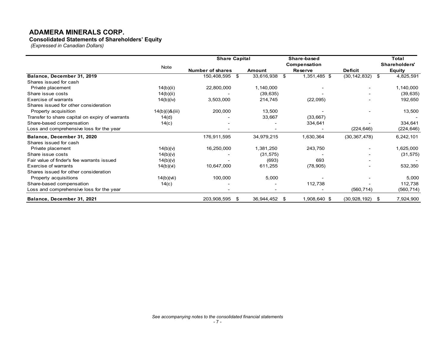## **Consolidated Statements of Shareholders' Equity**

 *(Expressed in Canadian Dollars)* 

|                                                 |                | <b>Share Capital</b> |     |            |    | Share-based    |                | Total             |
|-------------------------------------------------|----------------|----------------------|-----|------------|----|----------------|----------------|-------------------|
|                                                 | Note           |                      |     |            |    | Compensation   |                | Shareholders'     |
|                                                 |                | Number of shares     |     | Amount     |    | <b>Reserve</b> | <b>Deficit</b> | <b>Equity</b>     |
| Balance, December 31, 2019                      |                | 150,408,595          | -\$ | 33,616,938 | \$ | 1,351,485 \$   | (30, 142, 832) | 4,825,591<br>\$   |
| Shares issued for cash                          |                |                      |     |            |    |                |                |                   |
| Private placement                               | 14(b)(ii)      | 22,800,000           |     | 1,140,000  |    |                |                | 1,140,000         |
| Share issue costs                               | 14(b)(ii)      |                      |     | (39, 635)  |    |                |                | (39, 635)         |
| Exercise of warrants                            | 14(b)(iv)      | 3,503,000            |     | 214,745    |    | (22,095)       |                | 192,650           |
| Shares issued for other consideration           |                |                      |     |            |    |                |                |                   |
| Property acquisition                            | 14(b)(i)8(iii) | 200,000              |     | 13,500     |    |                |                | 13,500            |
| Transfer to share capital on expiry of warrants | 14(d)          |                      |     | 33,667     |    | (33, 667)      |                |                   |
| Share-based compensation                        | 14(c)          |                      |     |            |    | 334,641        |                | 334,641           |
| Loss and comprehensive loss for the year        |                |                      |     |            |    |                | (224, 646)     | (224, 646)        |
| Balance, December 31, 2020                      |                | 176,911,595          |     | 34,979,215 |    | 1,630,364      | (30, 367, 478) | 6,242,101         |
| Shares issued for cash                          |                |                      |     |            |    |                |                |                   |
| Private placement                               | 14(b)(v)       | 16,250,000           |     | 1,381,250  |    | 243,750        |                | 1,625,000         |
| Share issue costs                               | 14(b)(v)       |                      |     | (31, 575)  |    |                |                | (31, 575)         |
| Fair value of finder's fee warrants issued      | 14(b)(v)       |                      |     | (693)      |    | 693            |                |                   |
| <b>Exercise of warrants</b>                     | 14(b)(vi)      | 10,647,000           |     | 611,255    |    | (78, 905)      |                | 532,350           |
| Shares issued for other consideration           |                |                      |     |            |    |                |                |                   |
| Property acquisitions                           | 14(b)(iii)     | 100,000              |     | 5,000      |    |                |                | 5,000             |
| Share-based compensation                        | 14(c)          |                      |     |            |    | 112,738        |                | 112,738           |
| Loss and comprehensive loss for the year        |                |                      |     |            |    |                | (560, 714)     | (560, 714)        |
| Balance, December 31, 2021                      |                | 203,908,595          | -\$ | 36,944,452 | S. | 1,908,640 \$   | (30, 928, 192) | 7,924,900<br>- \$ |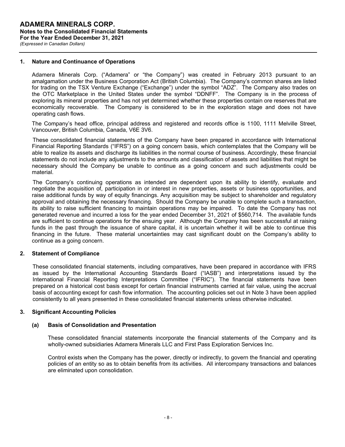#### **1. Nature and Continuance of Operations**

Adamera Minerals Corp. ("Adamera" or "the Company") was created in February 2013 pursuant to an amalgamation under the Business Corporation Act (British Columbia). The Company's common shares are listed for trading on the TSX Venture Exchange ("Exchange") under the symbol "ADZ". The Company also trades on the OTC Marketplace in the United States under the symbol "DDNFF". The Company is in the process of exploring its mineral properties and has not yet determined whether these properties contain ore reserves that are economically recoverable. The Company is considered to be in the exploration stage and does not have operating cash flows.

The Company's head office, principal address and registered and records office is 1100, 1111 Melville Street, Vancouver, British Columbia, Canada, V6E 3V6.

These consolidated financial statements of the Company have been prepared in accordance with International Financial Reporting Standards ("IFRS") on a going concern basis, which contemplates that the Company will be able to realize its assets and discharge its liabilities in the normal course of business. Accordingly, these financial statements do not include any adjustments to the amounts and classification of assets and liabilities that might be necessary should the Company be unable to continue as a going concern and such adjustments could be material.

The Company's continuing operations as intended are dependent upon its ability to identify, evaluate and negotiate the acquisition of, participation in or interest in new properties, assets or business opportunities, and raise additional funds by way of equity financings. Any acquisition may be subject to shareholder and regulatory approval and obtaining the necessary financing. Should the Company be unable to complete such a transaction, its ability to raise sufficient financing to maintain operations may be impaired. To date the Company has not generated revenue and incurred a loss for the year ended December 31, 2021 of \$560,714. The available funds are sufficient to continue operations for the ensuing year. Although the Company has been successful at raising funds in the past through the issuance of share capital, it is uncertain whether it will be able to continue this financing in the future. These material uncertainties may cast significant doubt on the Company's ability to continue as a going concern.

#### **2. Statement of Compliance**

These consolidated financial statements, including comparatives, have been prepared in accordance with IFRS as issued by the International Accounting Standards Board ("IASB") and interpretations issued by the International Financial Reporting Interpretations Committee ("IFRIC"). The financial statements have been prepared on a historical cost basis except for certain financial instruments carried at fair value, using the accrual basis of accounting except for cash flow information. The accounting policies set out in Note 3 have been applied consistently to all years presented in these consolidated financial statements unless otherwise indicated.

#### **3. Significant Accounting Policies**

#### **(a) Basis of Consolidation and Presentation**

These consolidated financial statements incorporate the financial statements of the Company and its wholly-owned subsidiaries Adamera Minerals LLC and First Pass Exploration Services Inc.

Control exists when the Company has the power, directly or indirectly, to govern the financial and operating policies of an entity so as to obtain benefits from its activities. All intercompany transactions and balances are eliminated upon consolidation.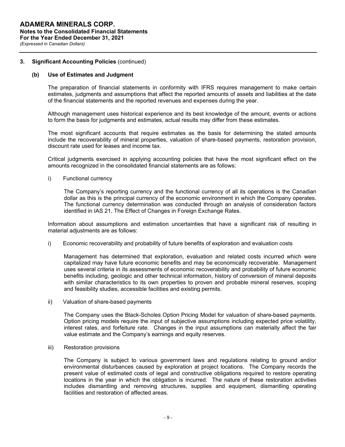#### **(b) Use of Estimates and Judgment**

The preparation of financial statements in conformity with IFRS requires management to make certain estimates, judgments and assumptions that affect the reported amounts of assets and liabilities at the date of the financial statements and the reported revenues and expenses during the year.

Although management uses historical experience and its best knowledge of the amount, events or actions to form the basis for judgments and estimates, actual results may differ from these estimates.

The most significant accounts that require estimates as the basis for determining the stated amounts include the recoverability of mineral properties, valuation of share-based payments, restoration provision, discount rate used for leases and income tax.

Critical judgments exercised in applying accounting policies that have the most significant effect on the amounts recognized in the consolidated financial statements are as follows:

i) Functional currency

The Company's reporting currency and the functional currency of all its operations is the Canadian dollar as this is the principal currency of the economic environment in which the Company operates. The functional currency determination was conducted through an analysis of consideration factors identified in IAS 21, The Effect of Changes in Foreign Exchange Rates.

Information about assumptions and estimation uncertainties that have a significant risk of resulting in material adjustments are as follows:

i) Economic recoverability and probability of future benefits of exploration and evaluation costs

Management has determined that exploration, evaluation and related costs incurred which were capitalized may have future economic benefits and may be economically recoverable. Management uses several criteria in its assessments of economic recoverability and probability of future economic benefits including, geologic and other technical information, history of conversion of mineral deposits with similar characteristics to its own properties to proven and probable mineral reserves, scoping and feasibility studies, accessible facilities and existing permits.

ii) Valuation of share-based payments

The Company uses the Black-Scholes Option Pricing Model for valuation of share-based payments. Option pricing models require the input of subjective assumptions including expected price volatility, interest rates, and forfeiture rate. Changes in the input assumptions can materially affect the fair value estimate and the Company's earnings and equity reserves.

iii) Restoration provisions

The Company is subject to various government laws and regulations relating to ground and/or environmental disturbances caused by exploration at project locations. The Company records the present value of estimated costs of legal and constructive obligations required to restore operating locations in the year in which the obligation is incurred. The nature of these restoration activities includes dismantling and removing structures, supplies and equipment, dismantling operating facilities and restoration of affected areas.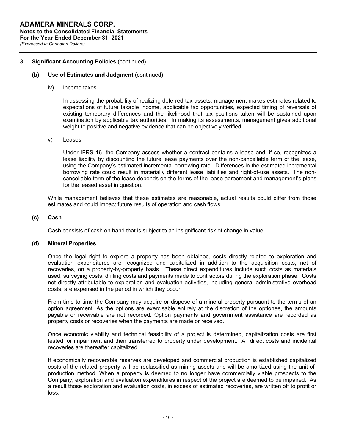#### **(b) Use of Estimates and Judgment** (continued)

iv) Income taxes

In assessing the probability of realizing deferred tax assets, management makes estimates related to expectations of future taxable income, applicable tax opportunities, expected timing of reversals of existing temporary differences and the likelihood that tax positions taken will be sustained upon examination by applicable tax authorities. In making its assessments, management gives additional weight to positive and negative evidence that can be objectively verified.

v) Leases

Under IFRS 16, the Company assess whether a contract contains a lease and, if so, recognizes a lease liability by discounting the future lease payments over the non-cancellable term of the lease, using the Company's estimated incremental borrowing rate. Differences in the estimated incremental borrowing rate could result in materially different lease liabilities and right-of-use assets. The noncancellable term of the lease depends on the terms of the lease agreement and management's plans for the leased asset in question.

While management believes that these estimates are reasonable, actual results could differ from those estimates and could impact future results of operation and cash flows.

#### **(c) Cash**

Cash consists of cash on hand that is subject to an insignificant risk of change in value.

#### **(d) Mineral Properties**

Once the legal right to explore a property has been obtained, costs directly related to exploration and evaluation expenditures are recognized and capitalized in addition to the acquisition costs, net of recoveries, on a property-by-property basis. These direct expenditures include such costs as materials used, surveying costs, drilling costs and payments made to contractors during the exploration phase. Costs not directly attributable to exploration and evaluation activities, including general administrative overhead costs, are expensed in the period in which they occur.

From time to time the Company may acquire or dispose of a mineral property pursuant to the terms of an option agreement. As the options are exercisable entirely at the discretion of the optionee, the amounts payable or receivable are not recorded. Option payments and government assistance are recorded as property costs or recoveries when the payments are made or received.

Once economic viability and technical feasibility of a project is determined, capitalization costs are first tested for impairment and then transferred to property under development. All direct costs and incidental recoveries are thereafter capitalized.

If economically recoverable reserves are developed and commercial production is established capitalized costs of the related property will be reclassified as mining assets and will be amortized using the unit-ofproduction method. When a property is deemed to no longer have commercially viable prospects to the Company, exploration and evaluation expenditures in respect of the project are deemed to be impaired. As a result those exploration and evaluation costs, in excess of estimated recoveries, are written off to profit or loss.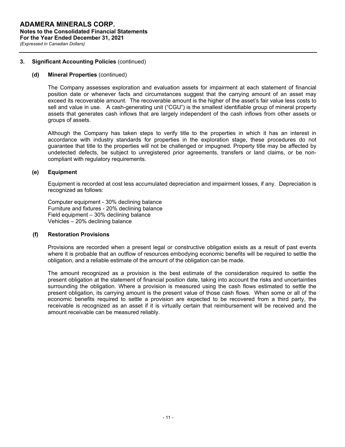#### **(d) Mineral Properties** (continued)

The Company assesses exploration and evaluation assets for impairment at each statement of financial position date or whenever facts and circumstances suggest that the carrying amount of an asset may exceed its recoverable amount. The recoverable amount is the higher of the asset's fair value less costs to sell and value in use. A cash-generating unit ("CGU") is the smallest identifiable group of mineral property assets that generates cash inflows that are largely independent of the cash inflows from other assets or groups of assets.

Although the Company has taken steps to verify title to the properties in which it has an interest in accordance with industry standards for properties in the exploration stage, these procedures do not guarantee that title to the properties will not be challenged or impugned. Property title may be affected by undetected defects, be subject to unregistered prior agreements, transfers or land claims, or be noncompliant with regulatory requirements.

#### **(e) Equipment**

Equipment is recorded at cost less accumulated depreciation and impairment losses, if any. Depreciation is recognized as follows:

Computer equipment - 30% declining balance Furniture and fixtures - 20% declining balance Field equipment – 30% declining balance Vehicles – 20% declining balance

#### **(f) Restoration Provisions**

Provisions are recorded when a present legal or constructive obligation exists as a result of past events where it is probable that an outflow of resources embodying economic benefits will be required to settle the obligation, and a reliable estimate of the amount of the obligation can be made.

The amount recognized as a provision is the best estimate of the consideration required to settle the present obligation at the statement of financial position date, taking into account the risks and uncertainties surrounding the obligation. Where a provision is measured using the cash flows estimated to settle the present obligation, its carrying amount is the present value of those cash flows. When some or all of the economic benefits required to settle a provision are expected to be recovered from a third party, the receivable is recognized as an asset if it is virtually certain that reimbursement will be received and the amount receivable can be measured reliably.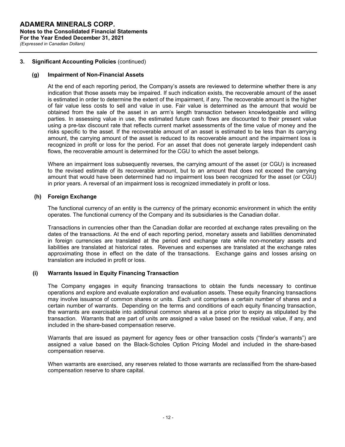#### **(g) Impairment of Non-Financial Assets**

At the end of each reporting period, the Company's assets are reviewed to determine whether there is any indication that those assets may be impaired. If such indication exists, the recoverable amount of the asset is estimated in order to determine the extent of the impairment, if any. The recoverable amount is the higher of fair value less costs to sell and value in use. Fair value is determined as the amount that would be obtained from the sale of the asset in an arm's length transaction between knowledgeable and willing parties. In assessing value in use, the estimated future cash flows are discounted to their present value using a pre-tax discount rate that reflects current market assessments of the time value of money and the risks specific to the asset. If the recoverable amount of an asset is estimated to be less than its carrying amount, the carrying amount of the asset is reduced to its recoverable amount and the impairment loss is recognized in profit or loss for the period. For an asset that does not generate largely independent cash flows, the recoverable amount is determined for the CGU to which the asset belongs.

Where an impairment loss subsequently reverses, the carrying amount of the asset (or CGU) is increased to the revised estimate of its recoverable amount, but to an amount that does not exceed the carrying amount that would have been determined had no impairment loss been recognized for the asset (or CGU) in prior years. A reversal of an impairment loss is recognized immediately in profit or loss.

#### **(h) Foreign Exchange**

The functional currency of an entity is the currency of the primary economic environment in which the entity operates. The functional currency of the Company and its subsidiaries is the Canadian dollar.

Transactions in currencies other than the Canadian dollar are recorded at exchange rates prevailing on the dates of the transactions. At the end of each reporting period, monetary assets and liabilities denominated in foreign currencies are translated at the period end exchange rate while non-monetary assets and liabilities are translated at historical rates. Revenues and expenses are translated at the exchange rates approximating those in effect on the date of the transactions. Exchange gains and losses arising on translation are included in profit or loss.

#### **(i) Warrants Issued in Equity Financing Transaction**

The Company engages in equity financing transactions to obtain the funds necessary to continue operations and explore and evaluate exploration and evaluation assets. These equity financing transactions may involve issuance of common shares or units. Each unit comprises a certain number of shares and a certain number of warrants. Depending on the terms and conditions of each equity financing transaction, the warrants are exercisable into additional common shares at a price prior to expiry as stipulated by the transaction. Warrants that are part of units are assigned a value based on the residual value, if any, and included in the share-based compensation reserve.

Warrants that are issued as payment for agency fees or other transaction costs ("finder's warrants") are assigned a value based on the Black-Scholes Option Pricing Model and included in the share-based compensation reserve.

When warrants are exercised, any reserves related to those warrants are reclassified from the share-based compensation reserve to share capital.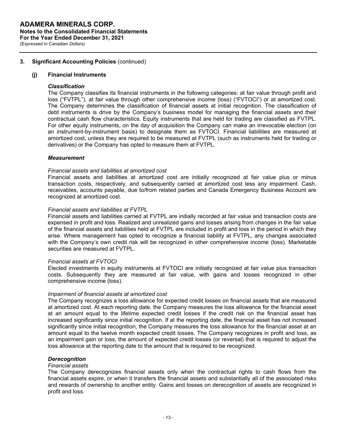#### **(j) Financial Instruments**

#### *Classification*

The Company classifies its financial instruments in the following categories: at fair value through profit and loss ("FVTPL"), at fair value through other comprehensive income (loss) ("FVTOCI") or at amortized cost. The Company determines the classification of financial assets at initial recognition. The classification of debt instruments is drive by the Company's business model for managing the financial assets and their contractual cash flow characteristics. Equity instruments that are held for trading are classified as FVTPL. For other equity instruments, on the day of acquisition the Company can make an irrevocable election (on an instrument-by-instrument basis) to designate them as FVTOCI. Financial liabilities are measured at amortized cost, unless they are required to be measured at FVTPL (such as instruments held for trading or derivatives) or the Company has opted to measure them at FVTPL.

#### *Measurement*

#### *Financial assets and liabilities at amortized cost*

Financial assets and liabilities at amortized cost are initially recognized at fair value plus or minus transaction costs, respectively, and subsequently carried at amortized cost less any impairment. Cash, receivables, accounts payable, due to/from related parties and Canada Emergency Business Account are recognized at amortized cost.

#### *Financial assets and liabilities at FVTPL*

Financial assets and liabilities carried at FVTPL are initially recorded at fair value and transaction costs are expensed in profit and loss. Realized and unrealized gains and losses arising from changes in the fair value of the financial assets and liabilities held at FVTPL are included in profit and loss in the period in which they arise. Where management has opted to recognize a financial liability at FVTPL, any changes associated with the Company's own credit risk will be recognized in other comprehensive income (loss). Marketable securities are measured at FVTPL.

#### *Financial assets at FVTOCI*

Elected investments in equity instruments at FVTOCI are initially recognized at fair value plus transaction costs. Subsequently they are measured at fair value, with gains and losses recognized in other comprehensive income (loss).

#### *Impairment of financial assets at amortized cost*

The Company recognizes a loss allowance for expected credit losses on financial assets that are measured at amortized cost. At each reporting date, the Company measures the loss allowance for the financial asset at an amount equal to the lifetime expected credit losses if the credit risk on the financial asset has increased significantly since initial recognition. If at the reporting date, the financial asset has not increased significantly since initial recognition, the Company measures the loss allowance for the financial asset at an amount equal to the twelve month expected credit losses. The Company recognizes in profit and loss, as an impairment gain or loss, the amount of expected credit losses (or reversal) that is required to adjust the loss allowance at the reporting date to the amount that is required to be recognized.

#### *Derecognition*

#### *Financial assets*

The Company derecognizes financial assets only when the contractual rights to cash flows from the financial assets expire, or when it transfers the financial assets and substantially all of the associated risks and rewards of ownership to another entity. Gains and losses on derecognition of assets are recognized in profit and loss.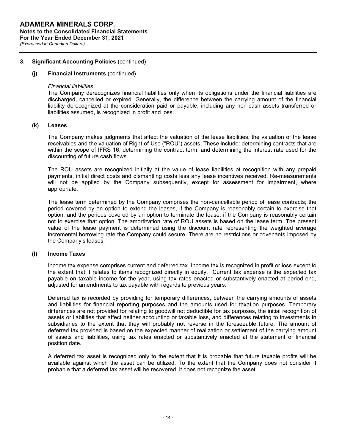#### **(j) Financial Instruments** (continued)

#### *Financial liabilities*

The Company derecognizes financial liabilities only when its obligations under the financial liabilities are discharged, cancelled or expired. Generally, the difference between the carrying amount of the financial liability derecognized at the consideration paid or payable, including any non-cash assets transferred or liabilities assumed, is recognized in profit and loss.

#### **(k) Leases**

The Company makes judgments that affect the valuation of the lease liabilities, the valuation of the lease receivables and the valuation of Right-of-Use ("ROU") assets. These include: determining contracts that are within the scope of IFRS 16; determining the contract term; and determining the interest rate used for the discounting of future cash flows.

The ROU assets are recognized initially at the value of lease liabilities at recognition with any prepaid payments, initial direct costs and dismantling costs less any lease incentives received. Re-measurements will not be applied by the Company subsequently, except for assessment for impairment, where appropriate.

The lease term determined by the Company comprises the non-cancellable period of lease contracts; the period covered by an option to extend the leases, if the Company is reasonably certain to exercise that option; and the periods covered by an option to terminate the lease, if the Company is reasonably certain not to exercise that option. The amortization rate of ROU assets is based on the lease term. The present value of the lease payment is determined using the discount rate representing the weighted average incremental borrowing rate the Company could secure. There are no restrictions or covenants imposed by the Company's leases.

#### **(l) Income Taxes**

Income tax expense comprises current and deferred tax. Income tax is recognized in profit or loss except to the extent that it relates to items recognized directly in equity. Current tax expense is the expected tax payable on taxable income for the year, using tax rates enacted or substantively enacted at period end, adjusted for amendments to tax payable with regards to previous years.

Deferred tax is recorded by providing for temporary differences, between the carrying amounts of assets and liabilities for financial reporting purposes and the amounts used for taxation purposes. Temporary differences are not provided for relating to goodwill not deductible for tax purposes, the initial recognition of assets or liabilities that affect neither accounting or taxable loss, and differences relating to investments in subsidiaries to the extent that they will probably not reverse in the foreseeable future. The amount of deferred tax provided is based on the expected manner of realization or settlement of the carrying amount of assets and liabilities, using tax rates enacted or substantively enacted at the statement of financial position date.

A deferred tax asset is recognized only to the extent that it is probable that future taxable profits will be available against which the asset can be utilized. To the extent that the Company does not consider it probable that a deferred tax asset will be recovered, it does not recognize the asset.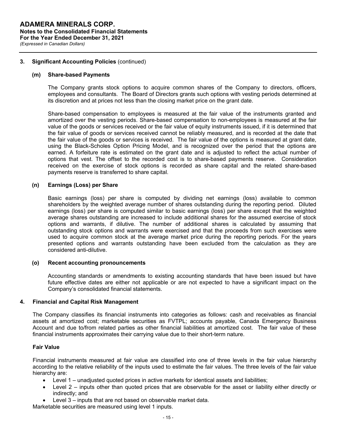#### **(m) Share-based Payments**

The Company grants stock options to acquire common shares of the Company to directors, officers, employees and consultants. The Board of Directors grants such options with vesting periods determined at its discretion and at prices not less than the closing market price on the grant date.

Share-based compensation to employees is measured at the fair value of the instruments granted and amortized over the vesting periods. Share-based compensation to non-employees is measured at the fair value of the goods or services received or the fair value of equity instruments issued, if it is determined that the fair value of goods or services received cannot be reliably measured, and is recorded at the date that the fair value of the goods or services is received. The fair value of the options is measured at grant date, using the Black-Scholes Option Pricing Model, and is recognized over the period that the options are earned. A forfeiture rate is estimated on the grant date and is adjusted to reflect the actual number of options that vest. The offset to the recorded cost is to share-based payments reserve. Consideration received on the exercise of stock options is recorded as share capital and the related share-based payments reserve is transferred to share capital.

#### **(n) Earnings (Loss) per Share**

Basic earnings (loss) per share is computed by dividing net earnings (loss) available to common shareholders by the weighted average number of shares outstanding during the reporting period. Diluted earnings (loss) per share is computed similar to basic earnings (loss) per share except that the weighted average shares outstanding are increased to include additional shares for the assumed exercise of stock options and warrants, if dilutive. The number of additional shares is calculated by assuming that outstanding stock options and warrants were exercised and that the proceeds from such exercises were used to acquire common stock at the average market price during the reporting periods. For the years presented options and warrants outstanding have been excluded from the calculation as they are considered anti-dilutive.

#### **(o) Recent accounting pronouncements**

Accounting standards or amendments to existing accounting standards that have been issued but have future effective dates are either not applicable or are not expected to have a significant impact on the Company's consolidated financial statements.

#### **4. Financial and Capital Risk Management**

The Company classifies its financial instruments into categories as follows: cash and receivables as financial assets at amortized cost; marketable securities as FVTPL; accounts payable, Canada Emergency Business Account and due to/from related parties as other financial liabilities at amortized cost. The fair value of these financial instruments approximates their carrying value due to their short-term nature.

#### **Fair Value**

Financial instruments measured at fair value are classified into one of three levels in the fair value hierarchy according to the relative reliability of the inputs used to estimate the fair values. The three levels of the fair value hierarchy are:

- Level 1 unadjusted quoted prices in active markets for identical assets and liabilities;
- Level 2 inputs other than quoted prices that are observable for the asset or liability either directly or indirectly; and
- Level 3 inputs that are not based on observable market data.

Marketable securities are measured using level 1 inputs.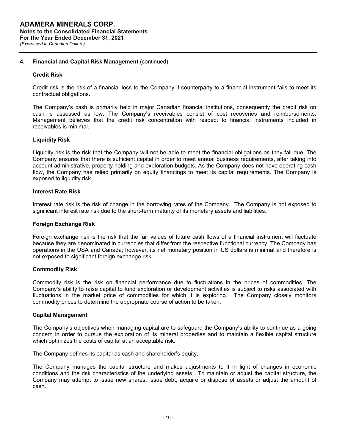#### **4. Financial and Capital Risk Management** (continued)

#### **Credit Risk**

Credit risk is the risk of a financial loss to the Company if counterparty to a financial instrument fails to meet its contractual obligations.

The Company's cash is primarily held in major Canadian financial institutions, consequently the credit risk on cash is assessed as low. The Company's receivables consist of cost recoveries and reimbursements. Management believes that the credit risk concentration with respect to financial instruments included in receivables is minimal.

#### **Liquidity Risk**

Liquidity risk is the risk that the Company will not be able to meet the financial obligations as they fall due. The Company ensures that there is sufficient capital in order to meet annual business requirements, after taking into account administrative, property holding and exploration budgets. As the Company does not have operating cash flow, the Company has relied primarily on equity financings to meet its capital requirements. The Company is exposed to liquidity risk.

#### **Interest Rate Risk**

Interest rate risk is the risk of change in the borrowing rates of the Company. The Company is not exposed to significant interest rate risk due to the short-term maturity of its monetary assets and liabilities.

#### **Foreign Exchange Risk**

Foreign exchange risk is the risk that the fair values of future cash flows of a financial instrument will fluctuate because they are denominated in currencies that differ from the respective functional currency. The Company has operations in the USA and Canada; however, its net monetary position in US dollars is minimal and therefore is not exposed to significant foreign exchange risk.

#### **Commodity Risk**

Commodity risk is the risk on financial performance due to fluctuations in the prices of commodities. The Company's ability to raise capital to fund exploration or development activities is subject to risks associated with fluctuations in the market price of commodities for which it is exploring. The Company closely monitors commodity prices to determine the appropriate course of action to be taken.

#### **Capital Management**

The Company's objectives when managing capital are to safeguard the Company's ability to continue as a going concern in order to pursue the exploration of its mineral properties and to maintain a flexible capital structure which optimizes the costs of capital at an acceptable risk.

The Company defines its capital as cash and shareholder's equity.

The Company manages the capital structure and makes adjustments to it in light of changes in economic conditions and the risk characteristics of the underlying assets. To maintain or adjust the capital structure, the Company may attempt to issue new shares, issue debt, acquire or dispose of assets or adjust the amount of cash.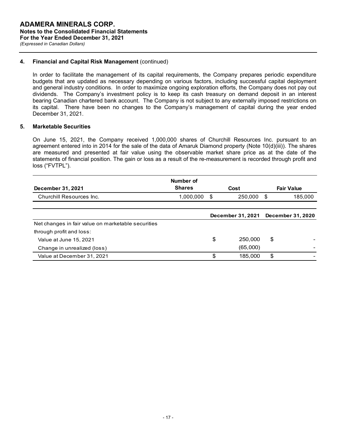#### **4. Financial and Capital Risk Management** (continued)

In order to facilitate the management of its capital requirements, the Company prepares periodic expenditure budgets that are updated as necessary depending on various factors, including successful capital deployment and general industry conditions. In order to maximize ongoing exploration efforts, the Company does not pay out dividends. The Company's investment policy is to keep its cash treasury on demand deposit in an interest bearing Canadian chartered bank account. The Company is not subject to any externally imposed restrictions on its capital. There have been no changes to the Company's management of capital during the year ended December 31, 2021.

#### **5. Marketable Securities**

On June 15, 2021, the Company received 1,000,000 shares of Churchill Resources Inc. pursuant to an agreement entered into in 2014 for the sale of the data of Amaruk Diamond property (Note 10(d)(iii)). The shares are measured and presented at fair value using the observable market share price as at the date of the statements of financial position. The gain or loss as a result of the re-measurement is recorded through profit and loss ("FVTPL").

| December 31, 2021                                  | Number of<br><b>Shares</b> |    | Cost                                | <b>Fair Value</b> |
|----------------------------------------------------|----------------------------|----|-------------------------------------|-------------------|
| Churchill Resources Inc.                           | 1,000,000                  | S  | 250,000                             | \$<br>185,000     |
|                                                    |                            |    |                                     |                   |
|                                                    |                            |    | December 31, 2021 December 31, 2020 |                   |
| Net changes in fair value on marketable securities |                            |    |                                     |                   |
| through profit and loss:                           |                            |    |                                     |                   |
| Value at June 15, 2021                             |                            | \$ | 250,000                             | \$                |
| Change in unrealized (loss)                        |                            |    | (65,000)                            |                   |
| Value at December 31, 2021                         |                            | \$ | 185,000                             | \$                |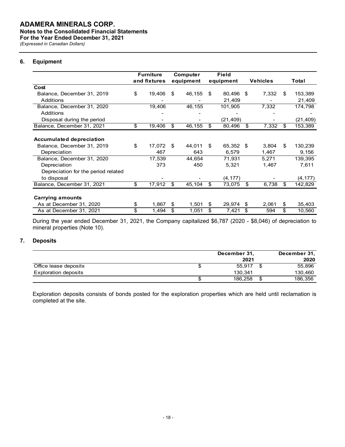#### **ADAMERA MINERALS CORP. Notes to the Consolidated Financial Statements**

**For the Year Ended December 31, 2021** 

*(Expressed in Canadian Dollars)* 

#### **6. Equipment**

|                                     | <b>Furniture</b> |              |    | Computer  | <b>Field</b> |           |                 |       |               |  |
|-------------------------------------|------------------|--------------|----|-----------|--------------|-----------|-----------------|-------|---------------|--|
|                                     |                  | and fixtures |    | equipment | equipment    |           | <b>Vehicles</b> |       | Total         |  |
| Cost                                |                  |              |    |           |              |           |                 |       |               |  |
| Balance, December 31, 2019          | \$               | 19,406       | \$ | 46,155    | \$           | 80,496 \$ |                 | 7,332 | \$<br>153,389 |  |
| Additions                           |                  |              |    |           |              | 21,409    |                 |       | 21,409        |  |
| Balance, December 31, 2020          |                  | 19,406       |    | 46,155    |              | 101,905   |                 | 7,332 | 174,798       |  |
| Additions                           |                  |              |    |           |              |           |                 |       |               |  |
| Disposal during the period          |                  |              |    |           |              | (21, 409) |                 |       | (21, 409)     |  |
| Balance, December 31, 2021          | \$               | 19,406       | \$ | 46,155    | \$           | 80,496    | \$              | 7,332 | \$<br>153,389 |  |
|                                     |                  |              |    |           |              |           |                 |       |               |  |
| <b>Accumulated depreciation</b>     |                  |              |    |           |              |           |                 |       |               |  |
| Balance, December 31, 2019          | \$               | 17,072       | \$ | 44,011    | \$           | 65,352 \$ |                 | 3,804 | \$<br>130,239 |  |
| Depreciation                        |                  | 467          |    | 643       |              | 6,579     |                 | 1,467 | 9,156         |  |
| Balance, December 31, 2020          |                  | 17,539       |    | 44,654    |              | 71,931    |                 | 5,271 | 139,395       |  |
| Depreciation                        |                  | 373          |    | 450       |              | 5,321     |                 | 1,467 | 7,611         |  |
| Depreciation for the period related |                  |              |    |           |              |           |                 |       |               |  |
| to disposal                         |                  |              |    |           |              | (4, 177)  |                 |       | (4, 177)      |  |
| Balance, December 31, 2021          | \$               | 17,912       | \$ | 45,104    | \$           | 73,075    | \$              | 6,738 | \$<br>142,829 |  |
|                                     |                  |              |    |           |              |           |                 |       |               |  |
| <b>Carrying amounts</b>             |                  |              |    |           |              |           |                 |       |               |  |
| As at December 31, 2020             | \$               | 1,867        | S  | 1,501     | \$           | 29,974    | \$              | 2,061 | \$<br>35,403  |  |
| As at December 31, 2021             | \$               | 1,494        | \$ | 1,051     | \$           | 7,421     | \$              | 594   | \$<br>10,560  |  |

During the year ended December 31, 2021, the Company capitalized \$6,787 (2020 - \$8,046) of depreciation to mineral properties (Note 10).

#### **7. Deposits**

|                       |   | December 31, |     | December 31. |  |  |
|-----------------------|---|--------------|-----|--------------|--|--|
|                       |   | 2021         |     | 2020         |  |  |
| Office lease deposits |   | 55.917       |     | 55,896       |  |  |
| Exploration deposits  |   | 130.341      |     | 130.460      |  |  |
|                       | Œ | 186,258      | \$. | 186,356      |  |  |

Exploration deposits consists of bonds posted for the exploration properties which are held until reclamation is completed at the site.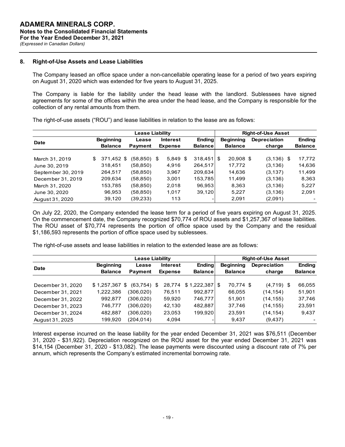#### **8. Right-of-Use Assets and Lease Liabilities**

The Company leased an office space under a non-cancellable operating lease for a period of two years expiring on August 31, 2020 which was extended for five years to August 31, 2025.

The Company is liable for the liability under the head lease with the landlord. Sublessees have signed agreements for some of the offices within the area under the head lease, and the Company is responsible for the collection of any rental amounts from them.

|                    |                  | <b>Lease Liability</b> |                 |                 |                  | <b>Right-of-Use Asset</b> |                |
|--------------------|------------------|------------------------|-----------------|-----------------|------------------|---------------------------|----------------|
| Date               | <b>Beginning</b> | Lease                  | <b>Interest</b> | <b>Ending</b>   | <b>Beginning</b> | <b>Depreciation</b>       | <b>Ending</b>  |
|                    | <b>Balance</b>   | Payment                | <b>Expense</b>  | <b>Balancel</b> | <b>Balance</b>   | charge                    | <b>Balance</b> |
|                    |                  |                        |                 |                 |                  |                           |                |
| March 31, 2019     | \$<br>371,452 \$ | $(58, 850)$ \$         | 5,849 \$        | $318,451$ \ \$  | 20,908 \$        | $(3, 136)$ \$             | 17,772         |
| June 30, 2019      | 318,451          | (58, 850)              | 4,916           | 264,517         | 17,772           | (3, 136)                  | 14,636         |
| September 30, 2019 | 264,517          | (58, 850)              | 3,967           | 209,634         | 14,636           | (3, 137)                  | 11,499         |
| December 31, 2019  | 209,634          | (58, 850)              | 3,001           | 153,785         | 11.499           | (3, 136)                  | 8,363          |
| March 31, 2020     | 153,785          | (58, 850)              | 2,018           | 96,953          | 8,363            | (3, 136)                  | 5,227          |
| June 30, 2020      | 96,953           | (58, 850)              | 1,017           | 39,120          | 5,227            | (3, 136)                  | 2,091          |
| August 31, 2020    | 39,120           | (39,233)               | 113             |                 | 2,091            | (2,091)                   |                |

The right-of-use assets ("ROU") and lease liabilities in relation to the lease are as follows:

On July 22, 2020, the Company extended the lease term for a period of five years expiring on August 31, 2025. On the commencement date, the Company recognized \$70,774 of ROU assets and \$1,257,367 of lease liabilities. The ROU asset of \$70,774 represents the portion of office space used by the Company and the residual \$1,186,593 represents the portion of office space used by sublessees.

The right-of-use assets and lease liabilities in relation to the extended lease are as follows:

|                   |                  | <b>Right-of-Use Asset</b> |                 |                |                  |                     |                |
|-------------------|------------------|---------------------------|-----------------|----------------|------------------|---------------------|----------------|
| Date              | <b>Beginning</b> | Lease                     | <b>Interest</b> | <b>Ending</b>  | <b>Beginning</b> | <b>Depreciation</b> | <b>Ending</b>  |
|                   | <b>Balance</b>   | Payment                   | <b>Expense</b>  | <b>Balance</b> | <b>Balance</b>   | charge              | <b>Balance</b> |
|                   |                  |                           |                 |                |                  |                     |                |
| December 31, 2020 | \$1,257,367      | $(63,754)$ \$<br>S        | 28.774          |                | 70,774 \$        | $(4,719)$ \$        | 66,055         |
| December 31, 2021 | 1,222,386        | (306, 020)                | 76.511          | 992,877        | 66,055           | (14, 154)           | 51,901         |
| December 31, 2022 | 992,877          | (306, 020)                | 59,920          | 746,777        | 51,901           | (14, 155)           | 37,746         |
| December 31, 2023 | 746,777          | (306, 020)                | 42,130          | 482,887        | 37,746           | (14, 155)           | 23,591         |
| December 31, 2024 | 482,887          | (306, 020)                | 23,053          | 199,920        | 23,591           | (14, 154)           | 9,437          |
| August 31, 2025   | 199,920          | (204, 014)                | 4,094           |                | 9,437            | (9, 437)            |                |

Interest expense incurred on the lease liability for the year ended December 31, 2021 was \$76,511 (December 31, 2020 - \$31,922). Depreciation recognized on the ROU asset for the year ended December 31, 2021 was \$14,154 (December 31, 2020 - \$13,082). The lease payments were discounted using a discount rate of 7% per annum, which represents the Company's estimated incremental borrowing rate.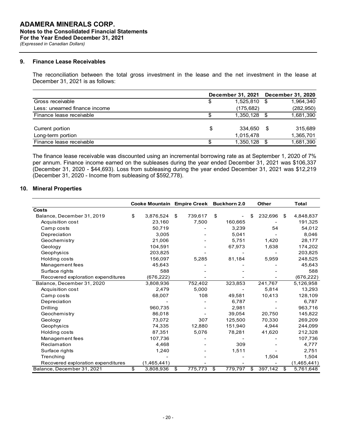#### **9. Finance Lease Receivables**

The reconciliation between the total gross investment in the lease and the net investment in the lease at December 31, 2021 is as follows:

|                               |    | December 31, 2021 December 31, 2020 |     |            |  |
|-------------------------------|----|-------------------------------------|-----|------------|--|
| Gross receivable              | \$ | 1,525,810                           | S   | 1,964,340  |  |
| Less: unearned finance income |    | (175,682)                           |     | (282, 950) |  |
| Finance lease receivable      | S  | 1,350,128                           |     | 1,681,390  |  |
|                               |    |                                     |     |            |  |
| Current portion               | \$ | 334.650                             | \$. | 315.689    |  |
| Long-term portion             |    | 1,015,478                           |     | 1,365,701  |  |
| Finance lease receivable      |    | 1,350,128                           |     | 1,681,390  |  |

The finance lease receivable was discounted using an incremental borrowing rate as at September 1, 2020 of 7% per annum. Finance income earned on the subleases during the year ended December 31, 2021 was \$106,337 (December 31, 2020 - \$44,693). Loss from subleasing during the year ended December 31, 2021 was \$12,219 (December 31, 2020 - Income from subleasing of \$592,778).

#### **10. Mineral Properties**

|                                    | Cooke Mountain Empire Creek Buckhorn 2.0 |             |               |               | <b>Other</b>  | <b>Total</b>    |
|------------------------------------|------------------------------------------|-------------|---------------|---------------|---------------|-----------------|
| <b>Costs</b>                       |                                          |             |               |               |               |                 |
| Balance, December 31, 2019         | \$                                       | 3,876,524   | \$<br>739,617 | \$            | \$<br>232,696 | \$<br>4,848,837 |
| Acquisition cost                   |                                          | 23,160      | 7,500         | 160,665       |               | 191,325         |
| Camp costs                         |                                          | 50,719      |               | 3,239         | 54            | 54,012          |
| Depreciation                       |                                          | 3,005       |               | 5,041         |               | 8,046           |
| Geochemistry                       |                                          | 21,006      |               | 5,751         | 1,420         | 28,177          |
| Geology                            |                                          | 104,591     |               | 67,973        | 1,638         | 174,202         |
| Geophysics                         |                                          | 203,825     |               |               |               | 203,825         |
| Holding costs                      |                                          | 156,097     | 5,285         | 81,184        | 5,959         | 248,525         |
| Management fees                    |                                          | 45,643      |               |               |               | 45,643          |
| Surface rights                     |                                          | 588         |               |               |               | 588             |
| Recovered exploration expenditures |                                          | (676, 222)  |               |               |               | (676, 222)      |
| Balance, December 31, 2020         |                                          | 3,808,936   | 752,402       | 323,853       | 241,767       | 5,126,958       |
| Acquisition cost                   |                                          | 2,479       | 5,000         |               | 5,814         | 13,293          |
| Camp costs                         |                                          | 68,007      | 108           | 49,581        | 10,413        | 128,109         |
| Depreciation                       |                                          |             |               | 6,787         |               | 6,787           |
| <b>Drilling</b>                    |                                          | 960,735     |               | 2,981         |               | 963,716         |
| Geochemistry                       |                                          | 86,018      |               | 39,054        | 20,750        | 145,822         |
| Geology                            |                                          | 73,072      | 307           | 125,500       | 70,330        | 269,209         |
| Geophysics                         |                                          | 74,335      | 12,880        | 151,940       | 4,944         | 244,099         |
| Holding costs                      |                                          | 87,351      | 5,076         | 78,281        | 41,620        | 212,328         |
| Management fees                    |                                          | 107,736     |               |               |               | 107,736         |
| Reclamation                        |                                          | 4,468       |               | 309           |               | 4,777           |
| Surface rights                     |                                          | 1,240       |               | 1,511         |               | 2,751           |
| Trenching                          |                                          |             |               |               | 1,504         | 1,504           |
| Recovered exploration expenditures |                                          | (1,465,441) |               |               |               | (1,465,441)     |
| Balance, December 31, 2021         | \$                                       | 3,808,936   | \$<br>775,773 | \$<br>779,797 | \$<br>397,142 | \$<br>5,761,648 |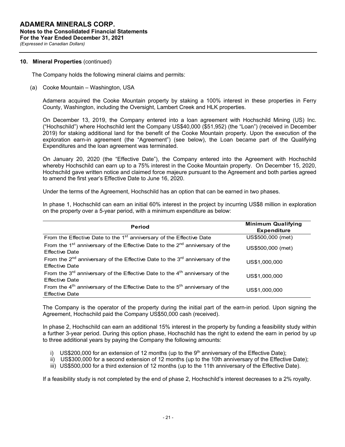#### **10. Mineral Properties** (continued)

The Company holds the following mineral claims and permits:

(a) Cooke Mountain – Washington, USA

Adamera acquired the Cooke Mountain property by staking a 100% interest in these properties in Ferry County, Washington, including the Oversight, Lambert Creek and HLK properties.

On December 13, 2019, the Company entered into a loan agreement with Hochschild Mining (US) Inc. ("Hochschild") where Hochschild lent the Company US\$40,000 (\$51,952) (the "Loan") (received in December 2019) for staking additional land for the benefit of the Cooke Mountain property. Upon the execution of the exploration earn-in agreement (the "Agreement") (see below), the Loan became part of the Qualifying Expenditures and the loan agreement was terminated.

On January 20, 2020 (the "Effective Date"), the Company entered into the Agreement with Hochschild whereby Hochschild can earn up to a 75% interest in the Cooke Mountain property. On December 15, 2020, Hochschild gave written notice and claimed force majeure pursuant to the Agreement and both parties agreed to amend the first year's Effective Date to June 16, 2020.

Under the terms of the Agreement, Hochschild has an option that can be earned in two phases.

In phase 1, Hochschild can earn an initial 60% interest in the project by incurring US\$8 million in exploration on the property over a 5-year period, with a minimum expenditure as below:

| <b>Period</b>                                                                                                                 | <b>Minimum Qualifying</b><br><b>Expenditure</b> |
|-------------------------------------------------------------------------------------------------------------------------------|-------------------------------------------------|
| From the Effective Date to the 1 <sup>st</sup> anniversary of the Effective Date                                              | US\$500,000 (met)                               |
| From the 1 <sup>st</sup> anniversary of the Effective Date to the 2 <sup>nd</sup> anniversary of the<br><b>Effective Date</b> | US\$500,000 (met)                               |
| From the $2^{nd}$ anniversary of the Effective Date to the $3^{rd}$ anniversary of the<br><b>Effective Date</b>               | US\$1,000,000                                   |
| From the $3rd$ anniversary of the Effective Date to the $4th$ anniversary of the<br><b>Effective Date</b>                     | US\$1,000,000                                   |
| From the $4th$ anniversary of the Effective Date to the $5th$ anniversary of the<br><b>Effective Date</b>                     | US\$1,000,000                                   |

The Company is the operator of the property during the initial part of the earn-in period. Upon signing the Agreement, Hochschild paid the Company US\$50,000 cash (received).

In phase 2, Hochschild can earn an additional 15% interest in the property by funding a feasibility study within a further 3-year period. During this option phase, Hochschild has the right to extend the earn in period by up to three additional years by paying the Company the following amounts:

- i) US\$200,000 for an extension of 12 months (up to the 9<sup>th</sup> anniversary of the Effective Date);
- ii) US\$300,000 for a second extension of 12 months (up to the 10th anniversary of the Effective Date);
- iii) US\$500,000 for a third extension of 12 months (up to the 11th anniversary of the Effective Date).

If a feasibility study is not completed by the end of phase 2, Hochschild's interest decreases to a 2% royalty.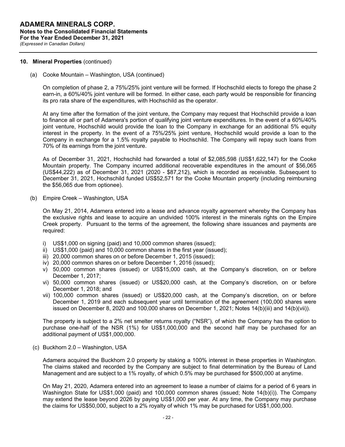#### **10. Mineral Properties** (continued)

(a) Cooke Mountain – Washington, USA (continued)

On completion of phase 2, a 75%/25% joint venture will be formed. If Hochschild elects to forego the phase 2 earn-in, a 60%/40% joint venture will be formed. In either case, each party would be responsible for financing its pro rata share of the expenditures, with Hochschild as the operator.

At any time after the formation of the joint venture, the Company may request that Hochschild provide a loan to finance all or part of Adamera's portion of qualifying joint venture expenditures. In the event of a 60%/40% joint venture, Hochschild would provide the loan to the Company in exchange for an additional 5% equity interest in the property. In the event of a 75%/25% joint venture, Hochschild would provide a loan to the Company in exchange for a 1.5% royalty payable to Hochschild. The Company will repay such loans from 70% of its earnings from the joint venture.

As of December 31, 2021, Hochschild had forwarded a total of \$2,085,598 (US\$1,622,147) for the Cooke Mountain property. The Company incurred additional recoverable expenditures in the amount of \$56,065 (US\$44,222) as of December 31, 2021 (2020 - \$87,212), which is recorded as receivable. Subsequent to December 31, 2021, Hochschild funded US\$52,571 for the Cooke Mountain property (including reimbursing the \$56,065 due from optionee).

(b) Empire Creek – Washington, USA

On May 21, 2014, Adamera entered into a lease and advance royalty agreement whereby the Company has the exclusive rights and lease to acquire an undivided 100% interest in the minerals rights on the Empire Creek property. Pursuant to the terms of the agreement, the following share issuances and payments are required:

- i) US\$1,000 on signing (paid) and 10,000 common shares (issued);
- ii) US\$1,000 (paid) and 10,000 common shares in the first year (issued);
- iii) 20,000 common shares on or before December 1, 2015 (issued);
- iv) 20,000 common shares on or before December 1, 2016 (issued);
- v) 50,000 common shares (issued) or US\$15,000 cash, at the Company's discretion, on or before December 1, 2017;
- vi) 50,000 common shares (issued) or US\$20,000 cash, at the Company's discretion, on or before December 1, 2018; and
- vii) 100,000 common shares (issued) or US\$20,000 cash, at the Company's discretion, on or before December 1, 2019 and each subsequent year until termination of the agreement (100,000 shares were issued on December 8, 2020 and 100,000 shares on December 1, 2021; Notes 14(b)(iii) and 14(b)(vii)).

The property is subject to a 2% net smelter returns royalty ("NSR"), of which the Company has the option to purchase one-half of the NSR (1%) for US\$1,000,000 and the second half may be purchased for an additional payment of US\$1,000,000.

(c) Buckhorn 2.0 – Washington, USA

Adamera acquired the Buckhorn 2.0 property by staking a 100% interest in these properties in Washington. The claims staked and recorded by the Company are subject to final determination by the Bureau of Land Management and are subject to a 1% royalty, of which 0.5% may be purchased for \$500,000 at anytime.

On May 21, 2020, Adamera entered into an agreement to lease a number of claims for a period of 6 years in Washington State for US\$1,000 (paid) and 100,000 common shares (issued; Note 14(b)(i)). The Company may extend the lease beyond 2026 by paying US\$1,000 per year. At any time, the Company may purchase the claims for US\$50,000, subject to a 2% royalty of which 1% may be purchased for US\$1,000,000.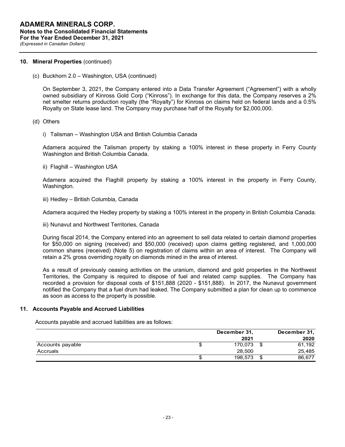#### **10. Mineral Properties** (continued)

(c) Buckhorn 2.0 – Washington, USA (continued)

On September 3, 2021, the Company entered into a Data Transfer Agreement ("Agreement") with a wholly owned subsidiary of Kinross Gold Corp ("Kinross"). In exchange for this data, the Company reserves a 2% net smelter returns production royalty (the "Royalty") for Kinross on claims held on federal lands and a 0.5% Royalty on State lease land. The Company may purchase half of the Royalty for \$2,000,000.

- (d) Others
	- i) Talisman Washington USA and British Columbia Canada

Adamera acquired the Talisman property by staking a 100% interest in these property in Ferry County Washington and British Columbia Canada.

ii) Flaghill – Washington USA

Adamera acquired the Flaghill property by staking a 100% interest in the property in Ferry County, Washington.

iii) Hedley – British Columbia, Canada

Adamera acquired the Hedley property by staking a 100% interest in the property in British Columbia Canada.

iii) Nunavut and Northwest Territories, Canada

During fiscal 2014, the Company entered into an agreement to sell data related to certain diamond properties for \$50,000 on signing (received) and \$50,000 (received) upon claims getting registered, and 1,000,000 common shares (received) (Note 5) on registration of claims within an area of interest. The Company will retain a 2% gross overriding royalty on diamonds mined in the area of interest.

As a result of previously ceasing activities on the uranium, diamond and gold properties in the Northwest Territories, the Company is required to dispose of fuel and related camp supplies. The Company has recorded a provision for disposal costs of \$151,888 (2020 - \$151,888). In 2017, the Nunavut government notified the Company that a fuel drum had leaked. The Company submitted a plan for clean up to commence as soon as access to the property is possible.

#### **11. Accounts Payable and Accrued Liabilities**

Accounts payable and accrued liabilities are as follows:

|                  | December 31. | December 31, |
|------------------|--------------|--------------|
|                  | 2021         | 2020         |
| Accounts payable | 170,073      | 61,192       |
| Accruals         | 28.500       | 25,485       |
|                  | 198,573      | 86,677       |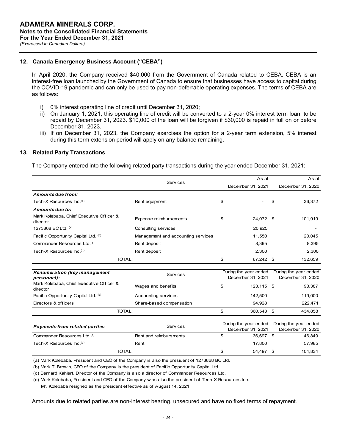#### **12. Canada Emergency Business Account ("CEBA")**

In April 2020, the Company received \$40,000 from the Government of Canada related to CEBA. CEBA is an interest-free loan launched by the Government of Canada to ensure that businesses have access to capital during the COVID-19 pandemic and can only be used to pay non-deferrable operating expenses. The terms of CEBA are as follows:

- i) 0% interest operating line of credit until December 31, 2020;
- ii) On January 1, 2021, this operating line of credit will be converted to a 2-year 0% interest term loan, to be repaid by December 31, 2023. \$10,000 of the loan will be forgiven if \$30,000 is repaid in full on or before December 31, 2023.
- iii) If on December 31, 2023, the Company exercises the option for a 2-year term extension, 5% interest during this term extension period will apply on any balance remaining.

#### **13. Related Party Transactions**

The Company entered into the following related party transactions during the year ended December 31, 2021:

|                                                      | As at                              |                                            | As at   |                                            |
|------------------------------------------------------|------------------------------------|--------------------------------------------|---------|--------------------------------------------|
|                                                      | Services                           | December 31, 2021                          |         | December 31, 2020                          |
| <b>Amounts due from:</b>                             |                                    |                                            |         |                                            |
| Tech-X Resources Inc. <sup>(d)</sup>                 | Rent equipment                     | \$                                         | \$      | 36,372                                     |
| Amounts due to:                                      |                                    |                                            |         |                                            |
| Mark Kolebaba, Chief Executive Officer &<br>director | Expense reimbursements             | \$<br>24,072 \$                            |         | 101,919                                    |
| 1273868 BC Ltd. (a)                                  | Consulting services                | 20,925                                     |         |                                            |
| Pacific Opportunity Capital Ltd. (b)                 | Management and accounting services | 11.550                                     |         | 20.045                                     |
| Commander Resources Ltd. <sup>(c)</sup>              | Rent deposit                       | 8,395                                      |         | 8,395                                      |
| Tech-X Resources Inc. <sup>(d)</sup>                 | Rent deposit                       | 2,300                                      |         | 2,300                                      |
| <b>TOTAL:</b>                                        | \$<br>67,242                       | -\$                                        | 132,659 |                                            |
|                                                      |                                    |                                            |         |                                            |
|                                                      |                                    |                                            |         |                                            |
| <b>Renumeration (key management</b><br>personnel):   | Services                           | During the year ended<br>December 31, 2021 |         | During the year ended<br>December 31, 2020 |
| Mark Kolebaba, Chief Executive Officer &<br>director | Wages and benefits                 | \$<br>123,115 \$                           |         | 93,387                                     |
| Pacific Opportunity Capital Ltd. (b)                 | Accounting services                | 142,500                                    |         | 119,000                                    |
| Directors & officers                                 | Share-based compensation           | 94,928                                     |         | 222,471                                    |
| <b>TOTAL:</b>                                        |                                    | \$<br>360,543                              | -\$     | 434,858                                    |
|                                                      |                                    |                                            |         |                                            |
| <b>Payments from related parties</b>                 | Services                           | During the year ended<br>December 31, 2021 |         | During the year ended<br>December 31, 2020 |
| Commander Resources Ltd. <sup>(c)</sup>              | Rent and reimbursments             | \$<br>36,697 \$                            |         | 46,849                                     |
| Tech-X Resources Inc. <sup>(d)</sup>                 | Rent                               | 17,800                                     |         | 57,985                                     |

(a) Mark Kolebaba, President and CEO of the Company is also the president of 1273868 BC Ltd.

(b) Mark T. Brow n, CFO of the Company is the president of Pacific Opportunity Capital Ltd.

(c) Bernard Kahlert, Director of the Company is also a director of Commander Resources Ltd.

(d) Mark Kolebaba, President and CEO of the Company w as also the president of Tech-X Resources Inc.

Mr. Kolebaba resigned as the president effective as of August 14, 2021.

Amounts due to related parties are non-interest bearing, unsecured and have no fixed terms of repayment.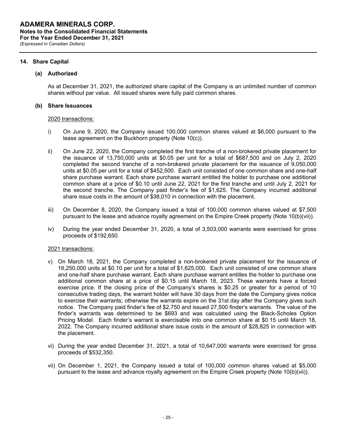#### **14. Share Capital**

#### **(a) Authorized**

As at December 31, 2021, the authorized share capital of the Company is an unlimited number of common shares without par value. All issued shares were fully paid common shares.

#### **(b) Share Issuances**

#### 2020 transactions:

- i) On June 9, 2020, the Company issued 100,000 common shares valued at \$6,000 pursuant to the lease agreement on the Buckhorn property (Note 10(c)).
- ii) On June 22, 2020, the Company completed the first tranche of a non-brokered private placement for the issuance of 13,750,000 units at \$0.05 per unit for a total of \$687,500 and on July 2, 2020 completed the second tranche of a non-brokered private placement for the issuance of 9,050,000 units at \$0.05 per unit for a total of \$452,500. Each unit consisted of one common share and one-half share purchase warrant. Each share purchase warrant entitled the holder to purchase one additional common share at a price of \$0.10 until June 22, 2021 for the first tranche and until July 2, 2021 for the second tranche. The Company paid finder's fee of \$1,625. The Company incurred additional share issue costs in the amount of \$38,010 in connection with the placement.
- iii) On December 8, 2020, the Company issued a total of 100,000 common shares valued at \$7,500 pursuant to the lease and advance royalty agreement on the Empire Creek property (Note 10(b)(vii)).
- iv) During the year ended December 31, 2020, a total of 3,503,000 warrants were exercised for gross proceeds of \$192,650.

#### 2021 transactions:

- v) On March 18, 2021, the Company completed a non-brokered private placement for the issuance of 16,250,000 units at \$0.10 per unit for a total of \$1,625,000. Each unit consisted of one common share and one-half share purchase warrant. Each share purchase warrant entitles the holder to purchase one additional common share at a price of \$0.15 until March 18, 2023. These warrants have a forced exercise price. If the closing price of the Company's shares is \$0.25 or greater for a period of 10 consecutive trading days, the warrant holder will have 30 days from the date the Company gives notice to exercise their warrants; otherwise the warrants expire on the 31st day after the Company gives such notice. The Company paid finder's fee of \$2,750 and issued 27,500 finder's warrants. The value of the finder's warrants was determined to be \$693 and was calculated using the Black-Scholes Option Pricing Model. Each finder's warrant is exercisable into one common share at \$0.15 until March 18, 2022. The Company incurred additional share issue costs in the amount of \$28,825 in connection with the placement.
- vi) During the year ended December 31, 2021, a total of 10,647,000 warrants were exercised for gross proceeds of \$532,350.
- vii) On December 1, 2021, the Company issued a total of 100,000 common shares valued at \$5,000 pursuant to the lease and advance royalty agreement on the Empire Creek property (Note 10(b)(vii)).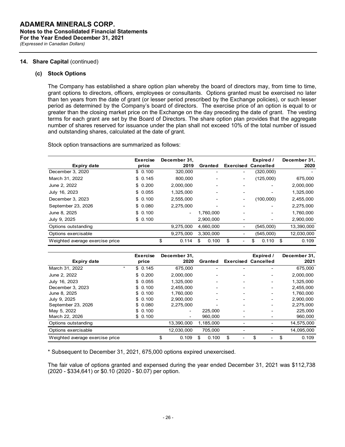#### 14. Share Capital (continued)

#### **(c) Stock Options**

The Company has established a share option plan whereby the board of directors may, from time to time, grant options to directors, officers, employees or consultants. Options granted must be exercised no later than ten years from the date of grant (or lesser period prescribed by the Exchange policies), or such lesser period as determined by the Company's board of directors. The exercise price of an option is equal to or greater than the closing market price on the Exchange on the day preceding the date of grant. The vesting terms for each grant are set by the Board of Directors. The share option plan provides that the aggregate number of shares reserved for issuance under the plan shall not exceed 10% of the total number of issued and outstanding shares, calculated at the date of grant.

Stock option transactions are summarized as follows:

|                                 | <b>Exercise</b> | December 31. |                                       |                  | Expired /                | December 31. |
|---------------------------------|-----------------|--------------|---------------------------------------|------------------|--------------------------|--------------|
| <b>Expiry date</b>              | price           |              | 2019<br>Granted                       | <b>Exercised</b> | Cancelled                | 2020         |
| December 3, 2020                | \$0.100         | 320,000      |                                       | $\overline{a}$   | (320,000)                |              |
| March 31, 2022                  | \$0.145         | 800,000      |                                       |                  | (125,000)                | 675,000      |
| June 2, 2022                    | \$0.200         | 2,000,000    |                                       |                  |                          | 2,000,000    |
| July 16, 2023                   | \$0.055         | 1.325.000    |                                       |                  | $\overline{\phantom{a}}$ | 1.325.000    |
| December 3, 2023                | \$0.100         | 2,555,000    |                                       |                  | (100,000)                | 2,455,000    |
| September 23, 2026              | \$0.080         | 2.275.000    |                                       |                  | $\overline{\phantom{0}}$ | 2,275,000    |
| June 8, 2025                    | \$0.100         |              | 1,760,000<br>$\overline{\phantom{a}}$ |                  | $\qquad \qquad$          | 1,760,000    |
| July 9, 2025                    | \$0.100         |              | 2,900,000                             |                  |                          | 2,900,000    |
| Options outstanding             |                 | 9.275.000    | 4.660.000                             |                  | (545,000)                | 13,390,000   |
| Options exercisable             |                 | 9.275.000    | 3.300.000                             |                  | (545,000)                | 12,030,000   |
| Weighted average exercise price |                 | 0.114<br>\$  | 0.100<br>S                            | \$<br>-          | 0.110                    | 0.109<br>S   |

|                                 | <b>Exercise</b> | December 31.             |             |                              | Expired / |   | December 31, |
|---------------------------------|-----------------|--------------------------|-------------|------------------------------|-----------|---|--------------|
| <b>Expiry date</b>              | price           | 2020                     | Granted     | <b>Exercised Cancelled</b>   |           |   | 2021         |
| March 31, 2022<br>*             | \$0.145         | 675,000                  | -           | $\overline{\phantom{0}}$     |           |   | 675,000      |
| June 2, 2022                    | \$0.200         | 2,000,000                |             |                              |           |   | 2,000,000    |
| July 16, 2023                   | \$0.055         | 1,325,000                |             | $\qquad \qquad \blacksquare$ | -         |   | 1,325,000    |
| December 3, 2023                | \$0.100         | 2,455,000                |             | $\overline{\phantom{a}}$     | -         |   | 2.455.000    |
| June 8, 2025                    | \$0.100         | 1,760,000                |             |                              |           |   | 1.760.000    |
| July 9, 2025                    | \$0.100         | 2,900,000                |             |                              |           |   | 2,900,000    |
| September 23, 2026              | \$0.080         | 2,275,000                |             |                              |           |   | 2,275,000    |
| May 5, 2022                     | \$0.100         | $\overline{\phantom{0}}$ | 225,000     | $\qquad \qquad \blacksquare$ |           |   | 225,000      |
| March 22, 2026                  | \$0.100         | $\qquad \qquad$          | 960,000     | -                            |           |   | 960,000      |
| Options outstanding             |                 | 13,390,000               | 1,185,000   |                              |           |   | 14,575,000   |
| Options exercisable             |                 | 12,030,000               | 705,000     |                              |           |   | 14,095,000   |
| Weighted average exercise price |                 | \$<br>0.109              | \$<br>0.100 | \$                           | \$        | S | 0.109        |

\* Subsequent to December 31, 2021, 675,000 options expired unexercised.

The fair value of options granted and expensed during the year ended December 31, 2021 was \$112,738 (2020 - \$334,641) or \$0.10 (2020 - \$0.07) per option.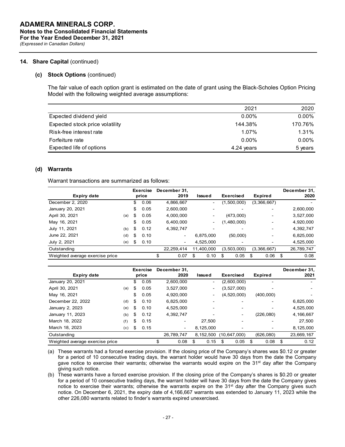#### 14. Share Capital (continued)

#### **(c) Stock Options** (continued)

The fair value of each option grant is estimated on the date of grant using the Black-Scholes Option Pricing Model with the following weighted average assumptions:

|                                 | 2021       | 2020     |
|---------------------------------|------------|----------|
| Expected dividend yield         | $0.00\%$   | $0.00\%$ |
| Expected stock price volatility | 144.38%    | 170.76%  |
| Risk-free interest rate         | 1.07%      | 1.31%    |
| Forfeiture rate                 | $0.00\%$   | $0.00\%$ |
| Expected life of options        | 4.24 years | 5 years  |

#### **(d) Warrants**

Warrant transactions are summarized as follows:

|                                 |     | <b>Exercise</b> |    | December 31.   |    |            |    |                  |     |                |   | December 31, |
|---------------------------------|-----|-----------------|----|----------------|----|------------|----|------------------|-----|----------------|---|--------------|
| Expiry date                     |     | price           |    | 2019           |    | Issued     |    | <b>Exercised</b> |     | <b>Expired</b> |   | 2020         |
| December 2, 2020                |     | \$<br>0.06      |    | 4,866,667      |    | ۰.         |    | (1,500,000)      |     | (3,366,667)    |   |              |
| January 20, 2021                |     | \$<br>0.05      |    | 2,600,000      |    |            |    |                  |     |                |   | 2,600,000    |
| April 30, 2021                  | (a) | \$<br>0.05      |    | 4,000,000      |    | ۰.         |    | (473,000)        |     |                |   | 3,527,000    |
| May 16, 2021                    |     | \$<br>0.05      |    | 6,400,000      |    | ۰          |    | (1,480,000)      |     |                |   | 4,920,000    |
| July 11, 2021                   | (b) | \$<br>0.12      |    | 4,392,747      |    |            |    | -                |     |                |   | 4,392,747    |
| June 22, 2021                   | (d) | \$<br>0.10      |    | $\blacksquare$ |    | 6,875,000  |    | (50,000)         |     |                |   | 6,825,000    |
| July 2, 2021                    | (e) | \$<br>0.10      |    | ۰.             |    | 4,525,000  |    |                  |     |                |   | 4,525,000    |
| Outstanding                     |     |                 |    | 22,259,414     |    | 11.400.000 |    | (3,503,000)      |     | (3,366,667)    |   | 26,789,747   |
| Weighted average exercise price |     |                 | \$ | 0.07           | \$ | 0.10       | \$ | 0.05             | \$. | 0.06           | S | 0.08         |

|                                 |     | <b>Exercise</b> |    | December 31, |    |                |   |                  |                |           | December 31, |
|---------------------------------|-----|-----------------|----|--------------|----|----------------|---|------------------|----------------|-----------|--------------|
| Expiry date                     |     | price           |    | 2020         |    | Issued         |   | <b>Exercised</b> | <b>Expired</b> |           | 2021         |
| January 20, 2021                |     | \$<br>0.05      |    | 2,600,000    |    | ۰.             |   | (2,600,000)      |                | ۰         |              |
| April 30, 2021                  | (a) | \$<br>0.05      |    | 3,527,000    |    | $\blacksquare$ |   | (3,527,000)      |                |           |              |
| May 16, 2021                    |     | \$<br>0.05      |    | 4,920,000    |    | $\blacksquare$ |   | (4,520,000)      |                | (400,000) |              |
| December 22, 2022               | (d) | \$<br>0.10      |    | 6,825,000    |    |                |   |                  |                |           | 6,825,000    |
| January 2, 2023                 | (e) | \$<br>0.10      |    | 4.525.000    |    |                |   |                  |                |           | 4,525,000    |
| January 11, 2023                | (b) | \$<br>0.12      |    | 4,392,747    |    |                |   |                  |                | (226,080) | 4,166,667    |
| March 18, 2022                  | (f) | \$<br>0.15      |    | $\,$         |    | 27.500         |   |                  |                |           | 27,500       |
| March 18, 2023                  | (c) | \$<br>0.15      |    | ۰            |    | 8,125,000      |   |                  |                |           | 8,125,000    |
| Outstanding                     |     |                 |    | 26.789.747   |    | 8,152,500      |   | (10.647.000)     |                | (626,080) | 23,669,167   |
| Weighted average exercise price |     |                 | \$ | 0.08         | \$ | 0.15           | S | 0.05             | \$.            | 0.08      | \$<br>0.12   |

(a) These warrants had a forced exercise provision. If the closing price of the Company's shares was \$0.12 or greater for a period of 10 consecutive trading days, the warrant holder would have 30 days from the date the Company gave notice to exercise their warrants; otherwise the warrants would expire on the 31<sup>st</sup> day after the Company giving such notice.

(b) These warrants have a forced exercise provision. If the closing price of the Company's shares is \$0.20 or greater for a period of 10 consecutive trading days, the warrant holder will have 30 days from the date the Company gives notice to exercise their warrants; otherwise the warrants expire on the 31<sup>st</sup> day after the Company gives such notice. On December 6, 2021, the expiry date of 4,166,667 warrants was extended to January 11, 2023 while the other 226,080 warrants related to finder's warrants expired unexercised.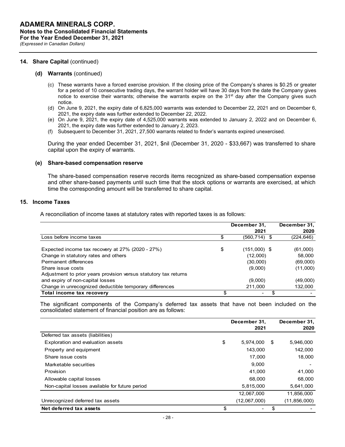#### 14. Share Capital (continued)

#### **(d) Warrants** (continued)

- (c) These warrants have a forced exercise provision. If the closing price of the Company's shares is \$0.25 or greater for a period of 10 consecutive trading days, the warrant holder will have 30 days from the date the Company gives notice to exercise their warrants; otherwise the warrants expire on the 31<sup>st</sup> day after the Company gives such notice.
- (d) On June 9, 2021, the expiry date of 6,825,000 warrants was extended to December 22, 2021 and on December 6, 2021, the expiry date was further extended to December 22, 2022.
- (e) On June 9, 2021, the expiry date of 4,525,000 warrants was extended to January 2, 2022 and on December 6, 2021, the expiry date was further extended to January 2, 2023.
- (f) Subsequent to December 31, 2021, 27,500 warrants related to finder's warrants expired unexercised.

During the year ended December 31, 2021, \$nil (December 31, 2020 - \$33,667) was transferred to share capital upon the expiry of warrants.

#### **(e) Share-based compensation reserve**

The share-based compensation reserve records items recognized as share-based compensation expense and other share-based payments until such time that the stock options or warrants are exercised, at which time the corresponding amount will be transferred to share capital.

#### **15. Income Taxes**

A reconciliation of income taxes at statutory rates with reported taxes is as follows:

|                                                                  | December 31,                   | December 31, |
|------------------------------------------------------------------|--------------------------------|--------------|
|                                                                  | 2021                           | 2020         |
| Loss before income taxes                                         | $(560, 714)$ \$                | (224,646)    |
|                                                                  |                                |              |
| Expected income tax recovery at 27% (2020 - 27%)                 | \$<br>(151,000) \$             | (61,000)     |
| Change in statutory rates and others                             | (12,000)                       | 58.000       |
| Permanent differences                                            | (30,000)                       | (69,000)     |
| Share issue costs                                                | (9,000)                        | (11,000)     |
| Adjustment to prior years provision versus statutory tax returns |                                |              |
| and expiry of non-capital losses                                 | (9,000)                        | (49,000)     |
| Change in unrecognized deductible temporary differences          | 211,000                        | 132,000      |
| Total income tax recovery                                        | \$<br>$\overline{\phantom{0}}$ |              |

The significant components of the Company's deferred tax assets that have not been included on the consolidated statement of financial position are as follows:

|                                                | December 31,<br>2021 |    | December 31,<br>2020 |
|------------------------------------------------|----------------------|----|----------------------|
| Deferred tax assets (liabilities)              |                      |    |                      |
| Exploration and evaluation assets              | \$<br>5,974,000      | S  | 5,946,000            |
| Property and equipment                         | 143,000              |    | 142,000              |
| Share issue costs                              | 17.000               |    | 18,000               |
| Marketable securities                          | 9.000                |    |                      |
| Provision                                      | 41.000               |    | 41,000               |
| Allowable capital losses                       | 68.000               |    | 68,000               |
| Non-capital losses available for future period | 5,815,000            |    | 5,641,000            |
|                                                | 12,067,000           |    | 11,856,000           |
| Unrecognized deferred tax assets               | (12,067,000)         |    | (11, 856, 000)       |
| Net deferred tax assets                        | \$<br>٠              | \$ |                      |